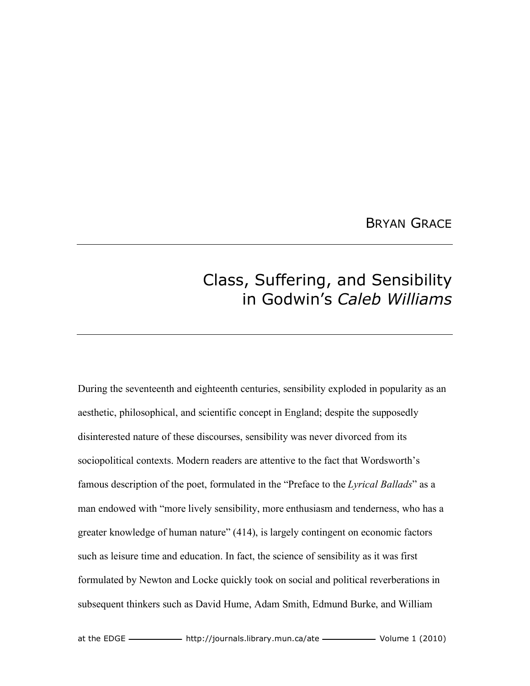## BRYAN GRACE

## Class, Suffering, and Sensibility in Godwin's *Caleb Williams*

During the seventeenth and eighteenth centuries, sensibility exploded in popularity as an aesthetic, philosophical, and scientific concept in England; despite the supposedly disinterested nature of these discourses, sensibility was never divorced from its sociopolitical contexts. Modern readers are attentive to the fact that Wordsworth's famous description of the poet, formulated in the "Preface to the *Lyrical Ballads*" as a man endowed with "more lively sensibility, more enthusiasm and tenderness, who has a greater knowledge of human nature" (414), is largely contingent on economic factors such as leisure time and education. In fact, the science of sensibility as it was first formulated by Newton and Locke quickly took on social and political reverberations in subsequent thinkers such as David Hume, Adam Smith, Edmund Burke, and William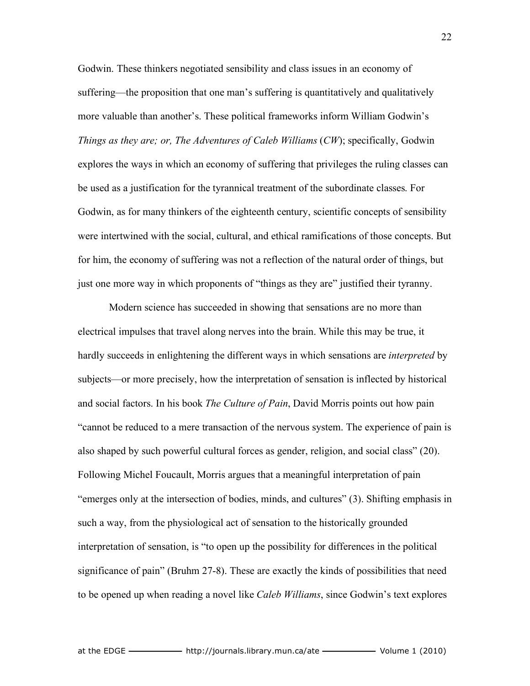Godwin. These thinkers negotiated sensibility and class issues in an economy of suffering—the proposition that one man's suffering is quantitatively and qualitatively more valuable than another's. These political frameworks inform William Godwin's *Things as they are; or, The Adventures of Caleb Williams* (*CW*); specifically, Godwin explores the ways in which an economy of suffering that privileges the ruling classes can be used as a justification for the tyrannical treatment of the subordinate classes. For Godwin, as for many thinkers of the eighteenth century, scientific concepts of sensibility were intertwined with the social, cultural, and ethical ramifications of those concepts. But for him, the economy of suffering was not a reflection of the natural order of things, but just one more way in which proponents of "things as they are" justified their tyranny.

Modern science has succeeded in showing that sensations are no more than electrical impulses that travel along nerves into the brain. While this may be true, it hardly succeeds in enlightening the different ways in which sensations are *interpreted* by subjects—or more precisely, how the interpretation of sensation is inflected by historical and social factors. In his book *The Culture of Pain*, David Morris points out how pain "cannot be reduced to a mere transaction of the nervous system. The experience of pain is also shaped by such powerful cultural forces as gender, religion, and social class" (20). Following Michel Foucault, Morris argues that a meaningful interpretation of pain "emerges only at the intersection of bodies, minds, and cultures" (3). Shifting emphasis in such a way, from the physiological act of sensation to the historically grounded interpretation of sensation, is "to open up the possibility for differences in the political significance of pain" (Bruhm 27-8). These are exactly the kinds of possibilities that need to be opened up when reading a novel like *Caleb Williams*, since Godwin's text explores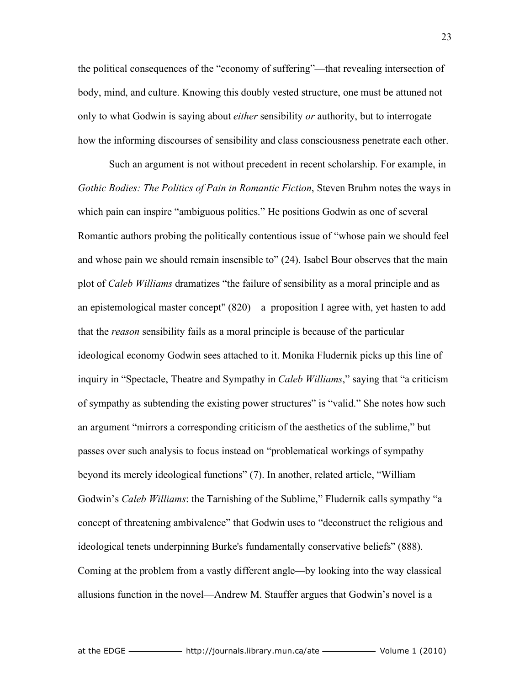the political consequences of the "economy of suffering"—that revealing intersection of body, mind, and culture. Knowing this doubly vested structure, one must be attuned not only to what Godwin is saying about *either* sensibility *or* authority, but to interrogate how the informing discourses of sensibility and class consciousness penetrate each other.

Such an argument is not without precedent in recent scholarship. For example, in *Gothic Bodies: The Politics of Pain in Romantic Fiction*, Steven Bruhm notes the ways in which pain can inspire "ambiguous politics." He positions Godwin as one of several Romantic authors probing the politically contentious issue of "whose pain we should feel and whose pain we should remain insensible to" (24). Isabel Bour observes that the main plot of *Caleb Williams* dramatizes "the failure of sensibility as a moral principle and as an epistemological master concept" (820)—a proposition I agree with, yet hasten to add that the *reason* sensibility fails as a moral principle is because of the particular ideological economy Godwin sees attached to it. Monika Fludernik picks up this line of inquiry in "Spectacle, Theatre and Sympathy in *Caleb Williams*," saying that "a criticism of sympathy as subtending the existing power structures" is "valid." She notes how such an argument "mirrors a corresponding criticism of the aesthetics of the sublime," but passes over such analysis to focus instead on "problematical workings of sympathy beyond its merely ideological functions" (7). In another, related article, "William Godwin's *Caleb Williams*: the Tarnishing of the Sublime," Fludernik calls sympathy "a concept of threatening ambivalence" that Godwin uses to "deconstruct the religious and ideological tenets underpinning Burke's fundamentally conservative beliefs" (888). Coming at the problem from a vastly different angle—by looking into the way classical allusions function in the novel—Andrew M. Stauffer argues that Godwin's novel is a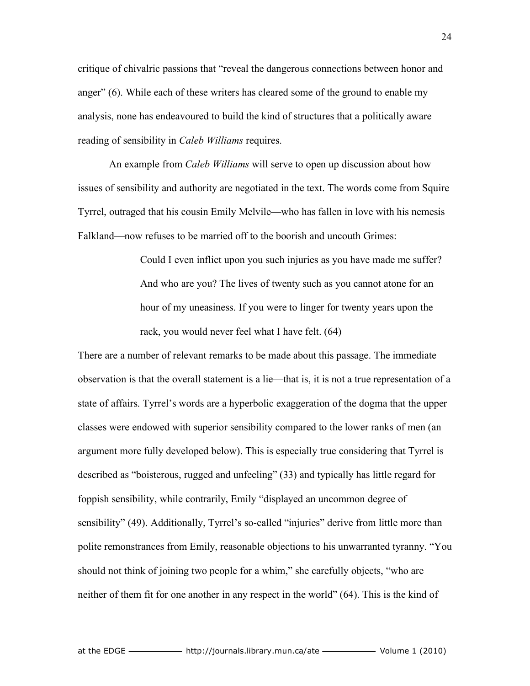critique of chivalric passions that "reveal the dangerous connections between honor and anger" (6). While each of these writers has cleared some of the ground to enable my analysis, none has endeavoured to build the kind of structures that a politically aware reading of sensibility in *Caleb Williams* requires.

An example from *Caleb Williams* will serve to open up discussion about how issues of sensibility and authority are negotiated in the text. The words come from Squire Tyrrel, outraged that his cousin Emily Melvile—who has fallen in love with his nemesis Falkland—now refuses to be married off to the boorish and uncouth Grimes:

> Could I even inflict upon you such injuries as you have made me suffer? And who are you? The lives of twenty such as you cannot atone for an hour of my uneasiness. If you were to linger for twenty years upon the rack, you would never feel what I have felt. (64)

There are a number of relevant remarks to be made about this passage. The immediate observation is that the overall statement is a lie—that is, it is not a true representation of a state of affairs. Tyrrel's words are a hyperbolic exaggeration of the dogma that the upper classes were endowed with superior sensibility compared to the lower ranks of men (an argument more fully developed below). This is especially true considering that Tyrrel is described as "boisterous, rugged and unfeeling" (33) and typically has little regard for foppish sensibility, while contrarily, Emily "displayed an uncommon degree of sensibility" (49). Additionally, Tyrrel's so-called "injuries" derive from little more than polite remonstrances from Emily, reasonable objections to his unwarranted tyranny. "You should not think of joining two people for a whim," she carefully objects, "who are neither of them fit for one another in any respect in the world" (64). This is the kind of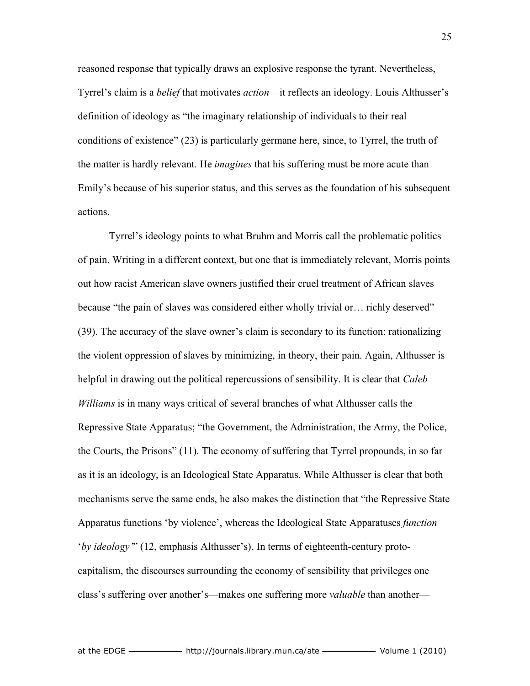reasoned response that typically draws an explosive response the tyrant. Nevertheless, Tyrrel's claim is a *belief* that motivates *action*—it reflects an ideology. Louis Althusser's definition of ideology as "the imaginary relationship of individuals to their real conditions of existence" (23) is particularly germane here, since, to Tyrrel, the truth of the matter is hardly relevant. He *imagines* that his suffering must be more acute than Emily's because of his superior status, and this serves as the foundation of his subsequent actions.

Tyrrel's ideology points to what Bruhm and Morris call the problematic politics of pain. Writing in a different context, but one that is immediately relevant, Morris points out how racist American slave owners justified their cruel treatment of African slaves because "the pain of slaves was considered either wholly trivial or… richly deserved" (39). The accuracy of the slave owner's claim is secondary to its function: rationalizing the violent oppression of slaves by minimizing, in theory, their pain. Again, Althusser is helpful in drawing out the political repercussions of sensibility. It is clear that *Caleb Williams* is in many ways critical of several branches of what Althusser calls the Repressive State Apparatus; "the Government, the Administration, the Army, the Police, the Courts, the Prisons" (11). The economy of suffering that Tyrrel propounds, in so far as it is an ideology, is an Ideological State Apparatus. While Althusser is clear that both mechanisms serve the same ends, he also makes the distinction that "the Repressive State Apparatus functions 'by violence', whereas the Ideological State Apparatuses *function* '*by ideology'*" (12, emphasis Althusser's). In terms of eighteenth-century protocapitalism, the discourses surrounding the economy of sensibility that privileges one class's suffering over another's—makes one suffering more *valuable* than another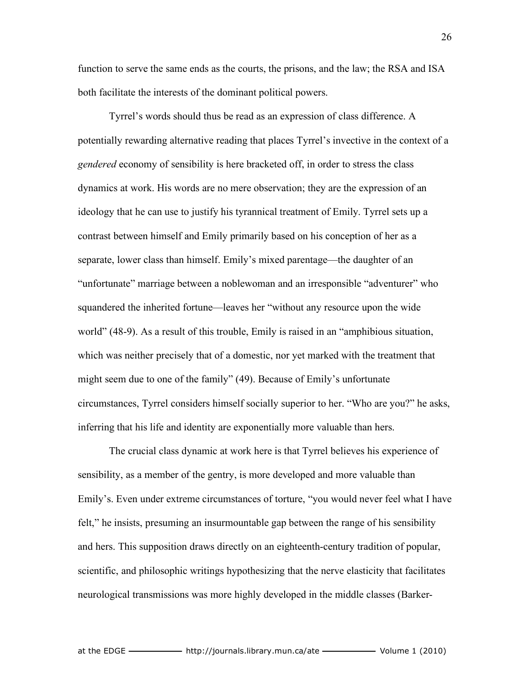function to serve the same ends as the courts, the prisons, and the law; the RSA and ISA both facilitate the interests of the dominant political powers.

Tyrrel's words should thus be read as an expression of class difference. A potentially rewarding alternative reading that places Tyrrel's invective in the context of a *gendered* economy of sensibility is here bracketed off, in order to stress the class dynamics at work. His words are no mere observation; they are the expression of an ideology that he can use to justify his tyrannical treatment of Emily. Tyrrel sets up a contrast between himself and Emily primarily based on his conception of her as a separate, lower class than himself. Emily's mixed parentage—the daughter of an "unfortunate" marriage between a noblewoman and an irresponsible "adventurer" who squandered the inherited fortune—leaves her "without any resource upon the wide world" (48-9). As a result of this trouble, Emily is raised in an "amphibious situation, which was neither precisely that of a domestic, nor yet marked with the treatment that might seem due to one of the family" (49). Because of Emily's unfortunate circumstances, Tyrrel considers himself socially superior to her. "Who are you?" he asks, inferring that his life and identity are exponentially more valuable than hers.

The crucial class dynamic at work here is that Tyrrel believes his experience of sensibility, as a member of the gentry, is more developed and more valuable than Emily's. Even under extreme circumstances of torture, "you would never feel what I have felt," he insists, presuming an insurmountable gap between the range of his sensibility and hers. This supposition draws directly on an eighteenth-century tradition of popular, scientific, and philosophic writings hypothesizing that the nerve elasticity that facilitates neurological transmissions was more highly developed in the middle classes (Barker-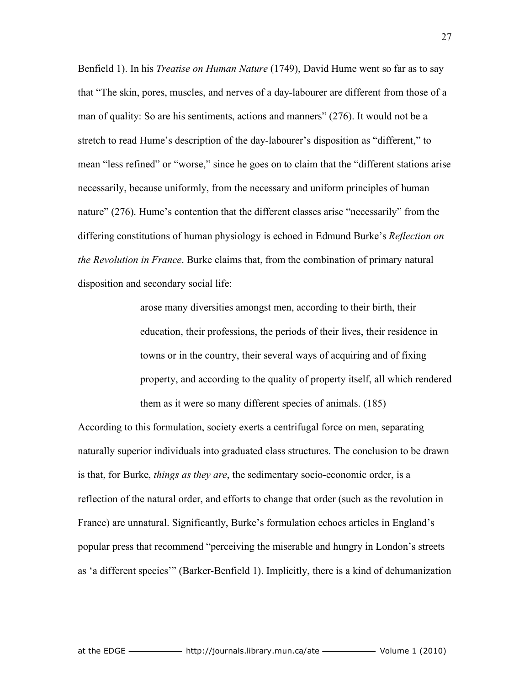Benfield 1). In his *Treatise on Human Nature* (1749), David Hume went so far as to say that "The skin, pores, muscles, and nerves of a day-labourer are different from those of a man of quality: So are his sentiments, actions and manners" (276). It would not be a stretch to read Hume's description of the day-labourer's disposition as "different," to mean "less refined" or "worse," since he goes on to claim that the "different stations arise necessarily, because uniformly, from the necessary and uniform principles of human nature" (276). Hume's contention that the different classes arise "necessarily" from the differing constitutions of human physiology is echoed in Edmund Burke's *Reflection on the Revolution in France*. Burke claims that, from the combination of primary natural disposition and secondary social life:

> arose many diversities amongst men, according to their birth, their education, their professions, the periods of their lives, their residence in towns or in the country, their several ways of acquiring and of fixing property, and according to the quality of property itself, all which rendered them as it were so many different species of animals. (185)

According to this formulation, society exerts a centrifugal force on men, separating naturally superior individuals into graduated class structures. The conclusion to be drawn is that, for Burke, *things as they are*, the sedimentary socio-economic order, is a reflection of the natural order, and efforts to change that order (such as the revolution in France) are unnatural. Significantly, Burke's formulation echoes articles in England's popular press that recommend "perceiving the miserable and hungry in London's streets as 'a different species'" (Barker-Benfield 1). Implicitly, there is a kind of dehumanization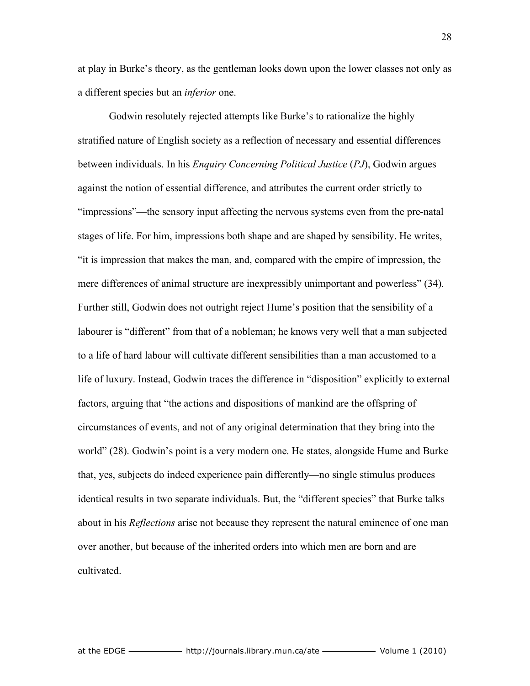at play in Burke's theory, as the gentleman looks down upon the lower classes not only as a different species but an *inferior* one.

Godwin resolutely rejected attempts like Burke's to rationalize the highly stratified nature of English society as a reflection of necessary and essential differences between individuals. In his *Enquiry Concerning Political Justice* (*PJ*), Godwin argues against the notion of essential difference, and attributes the current order strictly to "impressions"—the sensory input affecting the nervous systems even from the pre-natal stages of life. For him, impressions both shape and are shaped by sensibility. He writes, "it is impression that makes the man, and, compared with the empire of impression, the mere differences of animal structure are inexpressibly unimportant and powerless" (34). Further still, Godwin does not outright reject Hume's position that the sensibility of a labourer is "different" from that of a nobleman; he knows very well that a man subjected to a life of hard labour will cultivate different sensibilities than a man accustomed to a life of luxury. Instead, Godwin traces the difference in "disposition" explicitly to external factors, arguing that "the actions and dispositions of mankind are the offspring of circumstances of events, and not of any original determination that they bring into the world" (28). Godwin's point is a very modern one. He states, alongside Hume and Burke that, yes, subjects do indeed experience pain differently—no single stimulus produces identical results in two separate individuals. But, the "different species" that Burke talks about in his *Reflections* arise not because they represent the natural eminence of one man over another, but because of the inherited orders into which men are born and are cultivated.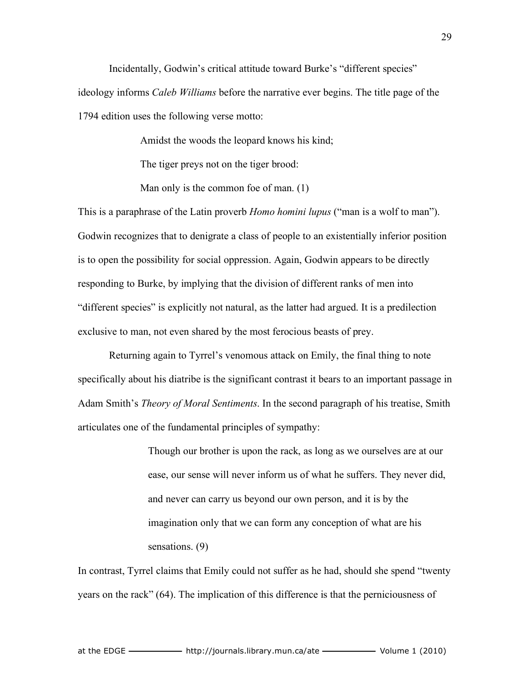Incidentally, Godwin's critical attitude toward Burke's "different species" ideology informs *Caleb Williams* before the narrative ever begins. The title page of the 1794 edition uses the following verse motto:

Amidst the woods the leopard knows his kind;

The tiger preys not on the tiger brood:

Man only is the common foe of man. (1)

This is a paraphrase of the Latin proverb *Homo homini lupus* ("man is a wolf to man"). Godwin recognizes that to denigrate a class of people to an existentially inferior position is to open the possibility for social oppression. Again, Godwin appears to be directly responding to Burke, by implying that the division of different ranks of men into "different species" is explicitly not natural, as the latter had argued. It is a predilection exclusive to man, not even shared by the most ferocious beasts of prey.

Returning again to Tyrrel's venomous attack on Emily, the final thing to note specifically about his diatribe is the significant contrast it bears to an important passage in Adam Smith's *Theory of Moral Sentiments*. In the second paragraph of his treatise, Smith articulates one of the fundamental principles of sympathy:

> Though our brother is upon the rack, as long as we ourselves are at our ease, our sense will never inform us of what he suffers. They never did, and never can carry us beyond our own person, and it is by the imagination only that we can form any conception of what are his sensations. (9)

In contrast, Tyrrel claims that Emily could not suffer as he had, should she spend "twenty years on the rack" (64). The implication of this difference is that the perniciousness of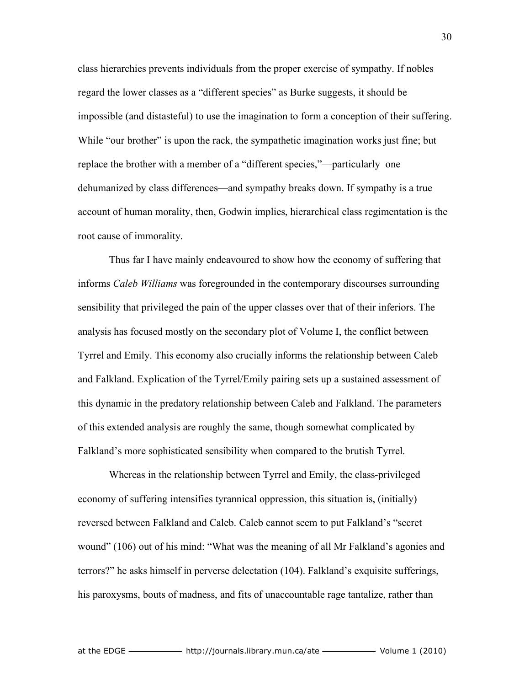class hierarchies prevents individuals from the proper exercise of sympathy. If nobles regard the lower classes as a "different species" as Burke suggests, it should be impossible (and distasteful) to use the imagination to form a conception of their suffering. While "our brother" is upon the rack, the sympathetic imagination works just fine; but replace the brother with a member of a "different species,"—particularly one dehumanized by class differences—and sympathy breaks down. If sympathy is a true account of human morality, then, Godwin implies, hierarchical class regimentation is the root cause of immorality.

Thus far I have mainly endeavoured to show how the economy of suffering that informs *Caleb Williams* was foregrounded in the contemporary discourses surrounding sensibility that privileged the pain of the upper classes over that of their inferiors. The analysis has focused mostly on the secondary plot of Volume I, the conflict between Tyrrel and Emily. This economy also crucially informs the relationship between Caleb and Falkland. Explication of the Tyrrel/Emily pairing sets up a sustained assessment of this dynamic in the predatory relationship between Caleb and Falkland. The parameters of this extended analysis are roughly the same, though somewhat complicated by Falkland's more sophisticated sensibility when compared to the brutish Tyrrel.

Whereas in the relationship between Tyrrel and Emily, the class-privileged economy of suffering intensifies tyrannical oppression, this situation is, (initially) reversed between Falkland and Caleb. Caleb cannot seem to put Falkland's "secret wound" (106) out of his mind: "What was the meaning of all Mr Falkland's agonies and terrors?" he asks himself in perverse delectation (104). Falkland's exquisite sufferings, his paroxysms, bouts of madness, and fits of unaccountable rage tantalize, rather than

30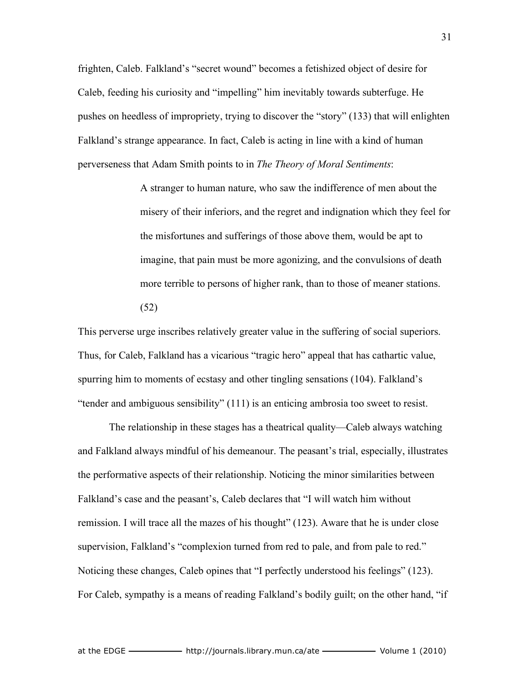frighten, Caleb. Falkland's "secret wound" becomes a fetishized object of desire for Caleb, feeding his curiosity and "impelling" him inevitably towards subterfuge. He pushes on heedless of impropriety, trying to discover the "story" (133) that will enlighten Falkland's strange appearance. In fact, Caleb is acting in line with a kind of human perverseness that Adam Smith points to in *The Theory of Moral Sentiments*:

> A stranger to human nature, who saw the indifference of men about the misery of their inferiors, and the regret and indignation which they feel for the misfortunes and sufferings of those above them, would be apt to imagine, that pain must be more agonizing, and the convulsions of death more terrible to persons of higher rank, than to those of meaner stations. (52)

This perverse urge inscribes relatively greater value in the suffering of social superiors. Thus, for Caleb, Falkland has a vicarious "tragic hero" appeal that has cathartic value, spurring him to moments of ecstasy and other tingling sensations (104). Falkland's "tender and ambiguous sensibility" (111) is an enticing ambrosia too sweet to resist.

The relationship in these stages has a theatrical quality—Caleb always watching and Falkland always mindful of his demeanour. The peasant's trial, especially, illustrates the performative aspects of their relationship. Noticing the minor similarities between Falkland's case and the peasant's, Caleb declares that "I will watch him without remission. I will trace all the mazes of his thought" (123). Aware that he is under close supervision, Falkland's "complexion turned from red to pale, and from pale to red." Noticing these changes, Caleb opines that "I perfectly understood his feelings" (123). For Caleb, sympathy is a means of reading Falkland's bodily guilt; on the other hand, "if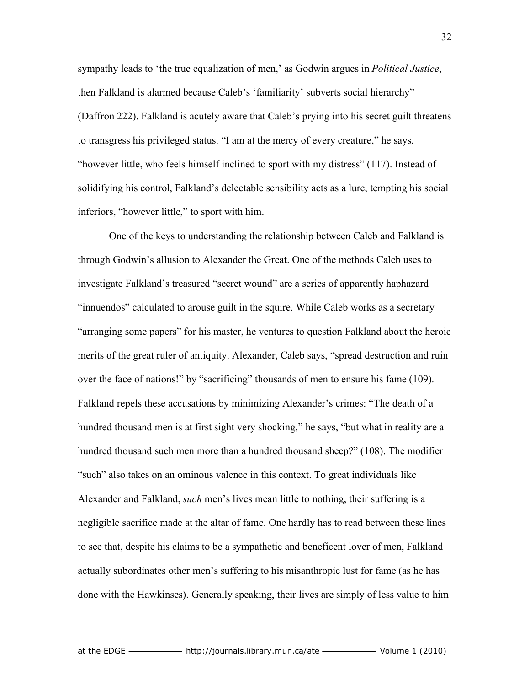sympathy leads to 'the true equalization of men,' as Godwin argues in *Political Justice*, then Falkland is alarmed because Caleb's 'familiarity' subverts social hierarchy" (Daffron 222). Falkland is acutely aware that Caleb's prying into his secret guilt threatens to transgress his privileged status. "I am at the mercy of every creature," he says, "however little, who feels himself inclined to sport with my distress" (117). Instead of solidifying his control, Falkland's delectable sensibility acts as a lure, tempting his social inferiors, "however little," to sport with him.

One of the keys to understanding the relationship between Caleb and Falkland is through Godwin's allusion to Alexander the Great. One of the methods Caleb uses to investigate Falkland's treasured "secret wound" are a series of apparently haphazard "innuendos" calculated to arouse guilt in the squire. While Caleb works as a secretary "arranging some papers" for his master, he ventures to question Falkland about the heroic merits of the great ruler of antiquity. Alexander, Caleb says, "spread destruction and ruin over the face of nations!" by "sacrificing" thousands of men to ensure his fame (109). Falkland repels these accusations by minimizing Alexander's crimes: "The death of a hundred thousand men is at first sight very shocking," he says, "but what in reality are a hundred thousand such men more than a hundred thousand sheep?" (108). The modifier "such" also takes on an ominous valence in this context. To great individuals like Alexander and Falkland, *such* men's lives mean little to nothing, their suffering is a negligible sacrifice made at the altar of fame. One hardly has to read between these lines to see that, despite his claims to be a sympathetic and beneficent lover of men, Falkland actually subordinates other men's suffering to his misanthropic lust for fame (as he has done with the Hawkinses). Generally speaking, their lives are simply of less value to him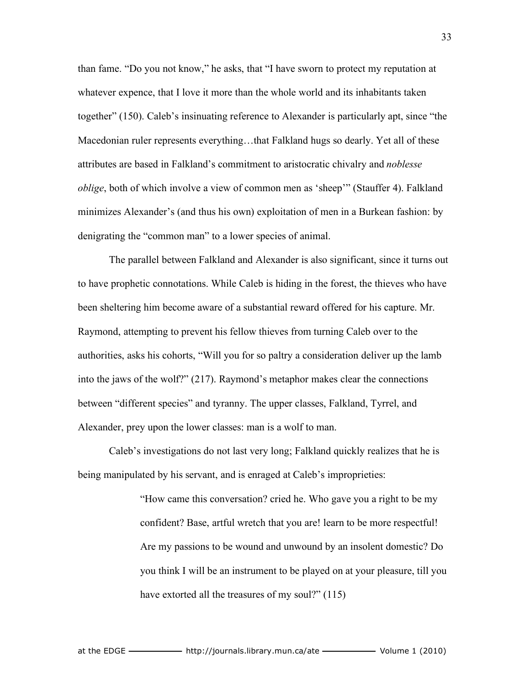than fame. "Do you not know," he asks, that "I have sworn to protect my reputation at whatever expence, that I love it more than the whole world and its inhabitants taken together" (150). Caleb's insinuating reference to Alexander is particularly apt, since "the Macedonian ruler represents everything…that Falkland hugs so dearly. Yet all of these attributes are based in Falkland's commitment to aristocratic chivalry and *noblesse oblige*, both of which involve a view of common men as 'sheep'" (Stauffer 4). Falkland minimizes Alexander's (and thus his own) exploitation of men in a Burkean fashion: by denigrating the "common man" to a lower species of animal.

The parallel between Falkland and Alexander is also significant, since it turns out to have prophetic connotations. While Caleb is hiding in the forest, the thieves who have been sheltering him become aware of a substantial reward offered for his capture. Mr. Raymond, attempting to prevent his fellow thieves from turning Caleb over to the authorities, asks his cohorts, "Will you for so paltry a consideration deliver up the lamb into the jaws of the wolf?" (217). Raymond's metaphor makes clear the connections between "different species" and tyranny. The upper classes, Falkland, Tyrrel, and Alexander, prey upon the lower classes: man is a wolf to man.

Caleb's investigations do not last very long; Falkland quickly realizes that he is being manipulated by his servant, and is enraged at Caleb's improprieties:

> "How came this conversation? cried he. Who gave you a right to be my confident? Base, artful wretch that you are! learn to be more respectful! Are my passions to be wound and unwound by an insolent domestic? Do you think I will be an instrument to be played on at your pleasure, till you have extorted all the treasures of my soul?" (115)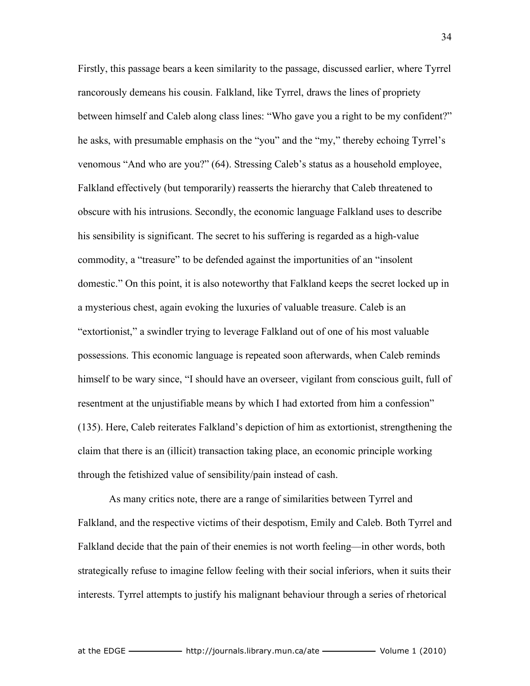Firstly, this passage bears a keen similarity to the passage, discussed earlier, where Tyrrel rancorously demeans his cousin. Falkland, like Tyrrel, draws the lines of propriety between himself and Caleb along class lines: "Who gave you a right to be my confident?" he asks, with presumable emphasis on the "you" and the "my," thereby echoing Tyrrel's venomous "And who are you?" (64). Stressing Caleb's status as a household employee, Falkland effectively (but temporarily) reasserts the hierarchy that Caleb threatened to obscure with his intrusions. Secondly, the economic language Falkland uses to describe his sensibility is significant. The secret to his suffering is regarded as a high-value commodity, a "treasure" to be defended against the importunities of an "insolent domestic." On this point, it is also noteworthy that Falkland keeps the secret locked up in a mysterious chest, again evoking the luxuries of valuable treasure. Caleb is an "extortionist," a swindler trying to leverage Falkland out of one of his most valuable possessions. This economic language is repeated soon afterwards, when Caleb reminds himself to be wary since, "I should have an overseer, vigilant from conscious guilt, full of resentment at the unjustifiable means by which I had extorted from him a confession" (135). Here, Caleb reiterates Falkland's depiction of him as extortionist, strengthening the claim that there is an (illicit) transaction taking place, an economic principle working through the fetishized value of sensibility/pain instead of cash.

As many critics note, there are a range of similarities between Tyrrel and Falkland, and the respective victims of their despotism, Emily and Caleb. Both Tyrrel and Falkland decide that the pain of their enemies is not worth feeling—in other words, both strategically refuse to imagine fellow feeling with their social inferiors, when it suits their interests. Tyrrel attempts to justify his malignant behaviour through a series of rhetorical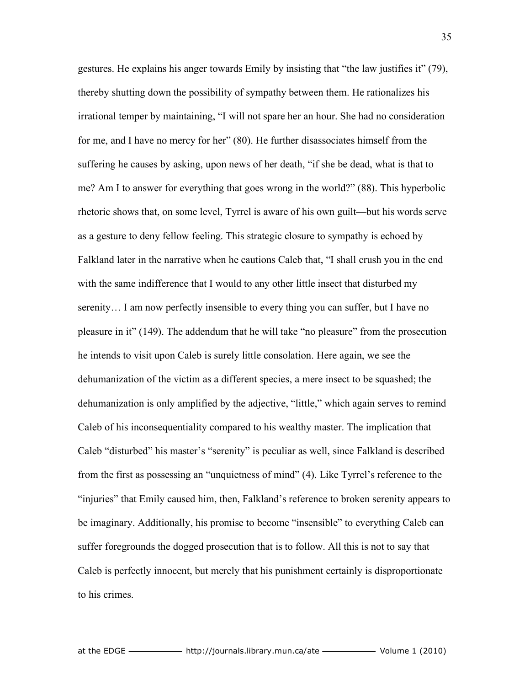gestures. He explains his anger towards Emily by insisting that "the law justifies it" (79), thereby shutting down the possibility of sympathy between them. He rationalizes his irrational temper by maintaining, "I will not spare her an hour. She had no consideration for me, and I have no mercy for her" (80). He further disassociates himself from the suffering he causes by asking, upon news of her death, "if she be dead, what is that to me? Am I to answer for everything that goes wrong in the world?" (88). This hyperbolic rhetoric shows that, on some level, Tyrrel is aware of his own guilt—but his words serve as a gesture to deny fellow feeling. This strategic closure to sympathy is echoed by Falkland later in the narrative when he cautions Caleb that, "I shall crush you in the end with the same indifference that I would to any other little insect that disturbed my serenity… I am now perfectly insensible to every thing you can suffer, but I have no pleasure in it" (149). The addendum that he will take "no pleasure" from the prosecution he intends to visit upon Caleb is surely little consolation. Here again, we see the dehumanization of the victim as a different species, a mere insect to be squashed; the dehumanization is only amplified by the adjective, "little," which again serves to remind Caleb of his inconsequentiality compared to his wealthy master. The implication that Caleb "disturbed" his master's "serenity" is peculiar as well, since Falkland is described from the first as possessing an "unquietness of mind" (4). Like Tyrrel's reference to the "injuries" that Emily caused him, then, Falkland's reference to broken serenity appears to be imaginary. Additionally, his promise to become "insensible" to everything Caleb can suffer foregrounds the dogged prosecution that is to follow. All this is not to say that Caleb is perfectly innocent, but merely that his punishment certainly is disproportionate to his crimes.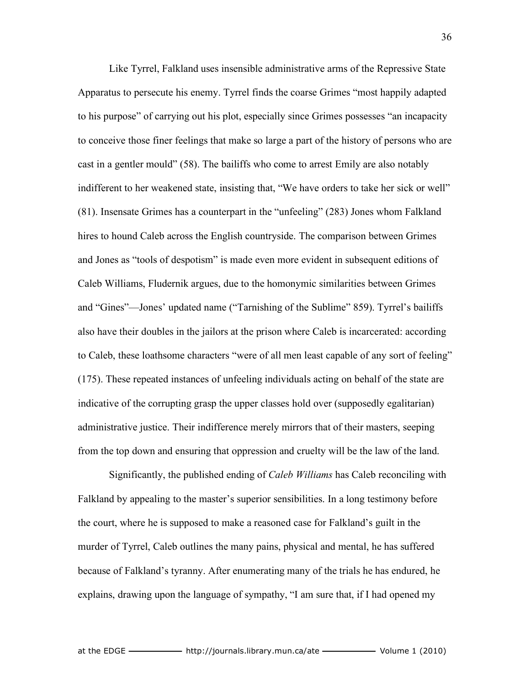Like Tyrrel, Falkland uses insensible administrative arms of the Repressive State Apparatus to persecute his enemy. Tyrrel finds the coarse Grimes "most happily adapted to his purpose" of carrying out his plot, especially since Grimes possesses "an incapacity to conceive those finer feelings that make so large a part of the history of persons who are cast in a gentler mould" (58). The bailiffs who come to arrest Emily are also notably indifferent to her weakened state, insisting that, "We have orders to take her sick or well" (81). Insensate Grimes has a counterpart in the "unfeeling" (283) Jones whom Falkland hires to hound Caleb across the English countryside. The comparison between Grimes and Jones as "tools of despotism" is made even more evident in subsequent editions of Caleb Williams, Fludernik argues, due to the homonymic similarities between Grimes and "Gines"—Jones' updated name ("Tarnishing of the Sublime" 859). Tyrrel's bailiffs also have their doubles in the jailors at the prison where Caleb is incarcerated: according to Caleb, these loathsome characters "were of all men least capable of any sort of feeling" (175). These repeated instances of unfeeling individuals acting on behalf of the state are indicative of the corrupting grasp the upper classes hold over (supposedly egalitarian) administrative justice. Their indifference merely mirrors that of their masters, seeping from the top down and ensuring that oppression and cruelty will be the law of the land.

Significantly, the published ending of *Caleb Williams* has Caleb reconciling with Falkland by appealing to the master's superior sensibilities. In a long testimony before the court, where he is supposed to make a reasoned case for Falkland's guilt in the murder of Tyrrel, Caleb outlines the many pains, physical and mental, he has suffered because of Falkland's tyranny. After enumerating many of the trials he has endured, he explains, drawing upon the language of sympathy, "I am sure that, if I had opened my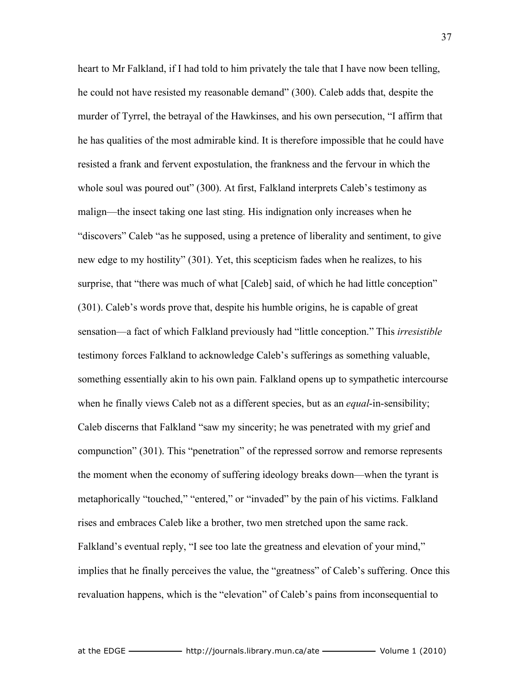heart to Mr Falkland, if I had told to him privately the tale that I have now been telling, he could not have resisted my reasonable demand" (300). Caleb adds that, despite the murder of Tyrrel, the betrayal of the Hawkinses, and his own persecution, "I affirm that he has qualities of the most admirable kind. It is therefore impossible that he could have resisted a frank and fervent expostulation, the frankness and the fervour in which the whole soul was poured out" (300). At first, Falkland interprets Caleb's testimony as malign—the insect taking one last sting. His indignation only increases when he "discovers" Caleb "as he supposed, using a pretence of liberality and sentiment, to give new edge to my hostility" (301). Yet, this scepticism fades when he realizes, to his surprise, that "there was much of what [Caleb] said, of which he had little conception" (301). Caleb's words prove that, despite his humble origins, he is capable of great sensation—a fact of which Falkland previously had "little conception." This *irresistible* testimony forces Falkland to acknowledge Caleb's sufferings as something valuable, something essentially akin to his own pain. Falkland opens up to sympathetic intercourse when he finally views Caleb not as a different species, but as an *equal*-in-sensibility; Caleb discerns that Falkland "saw my sincerity; he was penetrated with my grief and compunction" (301). This "penetration" of the repressed sorrow and remorse represents the moment when the economy of suffering ideology breaks down—when the tyrant is metaphorically "touched," "entered," or "invaded" by the pain of his victims. Falkland rises and embraces Caleb like a brother, two men stretched upon the same rack. Falkland's eventual reply, "I see too late the greatness and elevation of your mind," implies that he finally perceives the value, the "greatness" of Caleb's suffering. Once this revaluation happens, which is the "elevation" of Caleb's pains from inconsequential to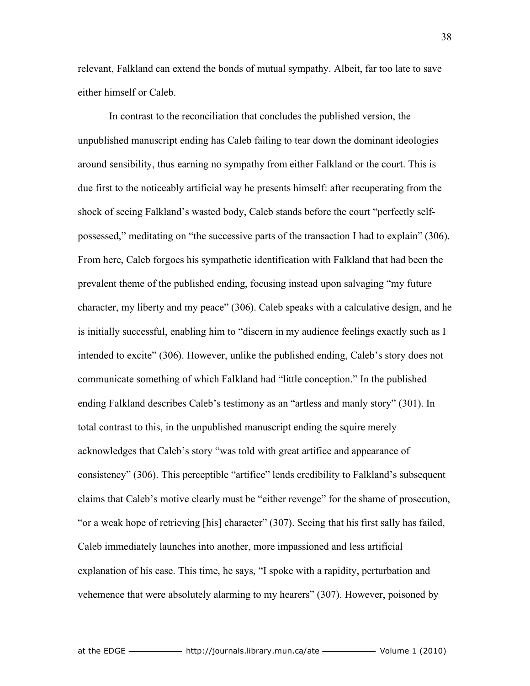relevant, Falkland can extend the bonds of mutual sympathy. Albeit, far too late to save either himself or Caleb.

In contrast to the reconciliation that concludes the published version, the unpublished manuscript ending has Caleb failing to tear down the dominant ideologies around sensibility, thus earning no sympathy from either Falkland or the court. This is due first to the noticeably artificial way he presents himself: after recuperating from the shock of seeing Falkland's wasted body, Caleb stands before the court "perfectly selfpossessed," meditating on "the successive parts of the transaction I had to explain" (306). From here, Caleb forgoes his sympathetic identification with Falkland that had been the prevalent theme of the published ending, focusing instead upon salvaging "my future character, my liberty and my peace" (306). Caleb speaks with a calculative design, and he is initially successful, enabling him to "discern in my audience feelings exactly such as I intended to excite" (306). However, unlike the published ending, Caleb's story does not communicate something of which Falkland had "little conception." In the published ending Falkland describes Caleb's testimony as an "artless and manly story" (301). In total contrast to this, in the unpublished manuscript ending the squire merely acknowledges that Caleb's story "was told with great artifice and appearance of consistency" (306). This perceptible "artifice" lends credibility to Falkland's subsequent claims that Caleb's motive clearly must be "either revenge" for the shame of prosecution, "or a weak hope of retrieving [his] character" (307). Seeing that his first sally has failed, Caleb immediately launches into another, more impassioned and less artificial explanation of his case. This time, he says, "I spoke with a rapidity, perturbation and vehemence that were absolutely alarming to my hearers" (307). However, poisoned by

38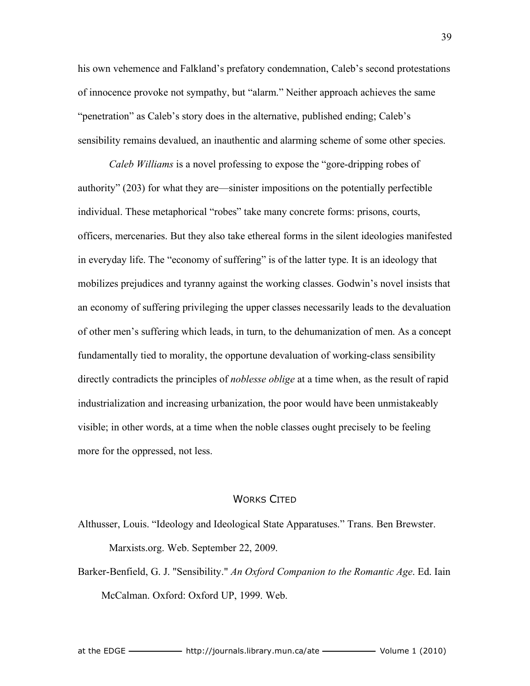his own vehemence and Falkland's prefatory condemnation, Caleb's second protestations of innocence provoke not sympathy, but "alarm." Neither approach achieves the same "penetration" as Caleb's story does in the alternative, published ending; Caleb's sensibility remains devalued, an inauthentic and alarming scheme of some other species.

*Caleb Williams* is a novel professing to expose the "gore-dripping robes of authority" (203) for what they are—sinister impositions on the potentially perfectible individual. These metaphorical "robes" take many concrete forms: prisons, courts, officers, mercenaries. But they also take ethereal forms in the silent ideologies manifested in everyday life. The "economy of suffering" is of the latter type. It is an ideology that mobilizes prejudices and tyranny against the working classes. Godwin's novel insists that an economy of suffering privileging the upper classes necessarily leads to the devaluation of other men's suffering which leads, in turn, to the dehumanization of men. As a concept fundamentally tied to morality, the opportune devaluation of working-class sensibility directly contradicts the principles of *noblesse oblige* at a time when, as the result of rapid industrialization and increasing urbanization, the poor would have been unmistakeably visible; in other words, at a time when the noble classes ought precisely to be feeling more for the oppressed, not less.

## WORKS CITED

Althusser, Louis. "Ideology and Ideological State Apparatuses." Trans. Ben Brewster. Marxists.org. Web. September 22, 2009.

Barker-Benfield, G. J. "Sensibility." *An Oxford Companion to the Romantic Age*. Ed. Iain McCalman. Oxford: Oxford UP, 1999. Web.